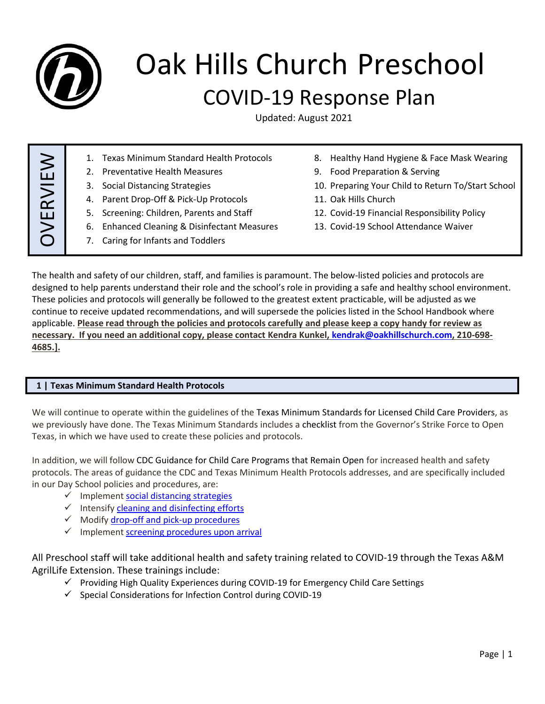

# Oak Hills Church Preschool COVID-19 Response Plan

Updated: August 2021

OVERVIE  $\bm{\gtrless}$ 1. Texas Minimum Standard Health Protocols 2. Preventative Health Measures 3. Social Distancing Strategies 4. Parent Drop-Off & Pick-Up Protocols 5. Screening: Children, Parents and Staff 6. Enhanced Cleaning & Disinfectant Measures 7. Caring for Infants and Toddlers 8. Healthy Hand Hygiene & Face Mask Wearing 9. Food Preparation & Serving 10. Preparing Your Child to Return To/Start School 11. Oak Hills Church 12. Covid-19 Financial Responsibility Policy 13. Covid-19 School Attendance Waiver

The health and safety of our children, staff, and families is paramount. The below-listed policies and protocols are designed to help parents understand their role and the school's role in providing a safe and healthy school environment. These policies and protocols will generally be followed to the greatest extent practicable, will be adjusted as we continue to receive updated recommendations, and will supersede the policies listed in the School Handbook where applicable. **Please read through the policies and protocols carefully and please keep a copy handy for review as necessary. If you need an additional copy, please contact Kendra Kunkel[, kendrak@oakhillschurch.com,](mailto:kendrak@oakhillschurch.com) 210-698- 4685.].**

# **1 | Texas Minimum Standard Health Protocols**

We will continue to operate within the guidelines of the Texas Minimum Standards for Licensed Child Care Providers, as we previously have done. The Texas Minimum Standards includes a checklist from the Governor's Strike Force to Open Texas, in which we have used to create these policies and protocols.

In addition, we will follow CDC Guidance for Child Care Programs that Remain Open for increased health and safety protocols. The areas of guidance the CDC and Texas Minimum Health Protocols addresses, and are specifically included in our Day School policies and procedures, are:

- ✓ Implemen[t social distancing strategies](https://www.cdc.gov/coronavirus/2019-ncov/community/schools-childcare/guidance-for-childcare.html#SocialDistancing)
- ✓ Intensify [cleaning and disinfecting efforts](https://www.cdc.gov/coronavirus/2019-ncov/community/schools-childcare/guidance-for-childcare.html#CleanDisinfect)
- ✓ Modify drop-off [and pick-up procedures](https://www.cdc.gov/coronavirus/2019-ncov/community/schools-childcare/guidance-for-childcare.html#pickup)
- $\checkmark$  Implemen[t screening procedures upon arrival](https://www.cdc.gov/coronavirus/2019-ncov/community/schools-childcare/guidance-for-childcare.html#ScreenChildren)

All Preschool staff will take additional health and safety training related to COVID-19 through the Texas A&M AgrilLife Extension. These trainings include:

- $\checkmark$  Providing High Quality Experiences during COVID-19 for Emergency Child Care Settings
- ✓ Special Considerations for Infection Control during COVID-19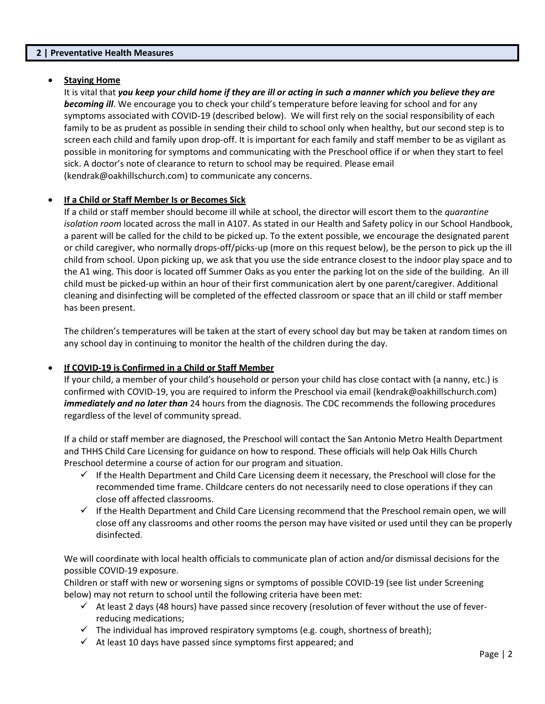#### **2 | Preventative Health Measures**

#### **Staying Home**

It is vital that *you keep your child home if they are ill or acting in such a manner which you believe they are becoming ill*. We encourage you to check your child's temperature before leaving for school and for any symptoms associated with COVID-19 (described below). We will first rely on the social responsibility of each family to be as prudent as possible in sending their child to school only when healthy, but our second step is to screen each child and family upon drop-off. It is important for each family and staff member to be as vigilant as possible in monitoring for symptoms and communicating with the Preschool office if or when they start to feel sick. A doctor's note of clearance to return to school may be required. Please email (kendrak@oakhillschurch.com) to communicate any concerns.

## **If a Child or Staff Member Is or Becomes Sick**

If a child or staff member should become ill while at school, the director will escort them to the *quarantine isolation room* located across the mall in A107. As stated in our Health and Safety policy in our School Handbook, a parent will be called for the child to be picked up. To the extent possible, we encourage the designated parent or child caregiver, who normally drops-off/picks-up (more on this request below), be the person to pick up the ill child from school. Upon picking up, we ask that you use the side entrance closest to the indoor play space and to the A1 wing. This door is located off Summer Oaks as you enter the parking lot on the side of the building. An ill child must be picked-up within an hour of their first communication alert by one parent/caregiver. Additional cleaning and disinfecting will be completed of the effected classroom or space that an ill child or staff member has been present.

The children's temperatures will be taken at the start of every school day but may be taken at random times on any school day in continuing to monitor the health of the children during the day.

#### **If COVID-19 is Confirmed in a Child or Staff Member**

If your child, a member of your child's household or person your child has close contact with (a nanny, etc.) is confirmed with COVID-19, you are required to inform the Preschool via email (kendrak@oakhillschurch.com) *immediately and no later than* 24 hours from the diagnosis. The CDC recommends the following procedures regardless of the level of community spread.

If a child or staff member are diagnosed, the Preschool will contact the San Antonio Metro Health Department and THHS Child Care Licensing for guidance on how to respond. These officials will help Oak Hills Church Preschool determine a course of action for our program and situation.

- $\checkmark$  If the Health Department and Child Care Licensing deem it necessary, the Preschool will close for the recommended time frame. Childcare centers do not necessarily need to close operations if they can close off affected classrooms.
- $\checkmark$  If the Health Department and Child Care Licensing recommend that the Preschool remain open, we will close off any classrooms and other rooms the person may have visited or used until they can be properly disinfected.

We will coordinate with local health officials to communicate plan of action and/or dismissal decisions for the possible COVID-19 exposure.

Children or staff with new or worsening signs or symptoms of possible COVID-19 (see list under Screening below) may not return to school until the following criteria have been met:

- $\checkmark$  At least 2 days (48 hours) have passed since recovery (resolution of fever without the use of feverreducing medications;
- $\checkmark$  The individual has improved respiratory symptoms (e.g. cough, shortness of breath);
- $\checkmark$  At least 10 days have passed since symptoms first appeared; and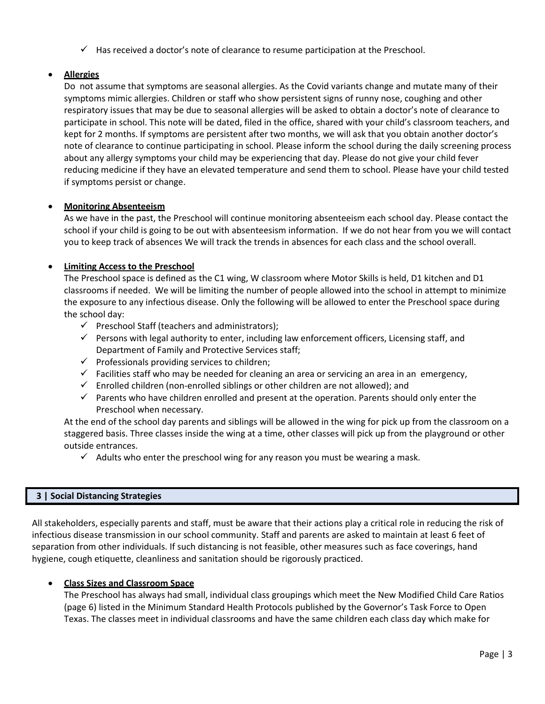$\checkmark$  Has received a doctor's note of clearance to resume participation at the Preschool.

# • **Allergies**

Do not assume that symptoms are seasonal allergies. As the Covid variants change and mutate many of their symptoms mimic allergies. Children or staff who show persistent signs of runny nose, coughing and other respiratory issues that may be due to seasonal allergies will be asked to obtain a doctor's note of clearance to participate in school. This note will be dated, filed in the office, shared with your child's classroom teachers, and kept for 2 months. If symptoms are persistent after two months, we will ask that you obtain another doctor's note of clearance to continue participating in school. Please inform the school during the daily screening process about any allergy symptoms your child may be experiencing that day. Please do not give your child fever reducing medicine if they have an elevated temperature and send them to school. Please have your child tested if symptoms persist or change.

# • **Monitoring Absenteeism**

As we have in the past, the Preschool will continue monitoring absenteeism each school day. Please contact the school if your child is going to be out with absenteesism information. If we do not hear from you we will contact you to keep track of absences We will track the trends in absences for each class and the school overall.

## **Limiting Access to the Preschool**

The Preschool space is defined as the C1 wing, W classroom where Motor Skills is held, D1 kitchen and D1 classrooms if needed. We will be limiting the number of people allowed into the school in attempt to minimize the exposure to any infectious disease. Only the following will be allowed to enter the Preschool space during the school day:

- $\checkmark$  Preschool Staff (teachers and administrators);
- $\checkmark$  Persons with legal authority to enter, including law enforcement officers, Licensing staff, and Department of Family and Protective Services staff;
- $\checkmark$  Professionals providing services to children;
- $\checkmark$  Facilities staff who may be needed for cleaning an area or servicing an area in an emergency,
- $\checkmark$  Enrolled children (non-enrolled siblings or other children are not allowed); and
- $\checkmark$  Parents who have children enrolled and present at the operation. Parents should only enter the Preschool when necessary.

At the end of the school day parents and siblings will be allowed in the wing for pick up from the classroom on a staggered basis. Three classes inside the wing at a time, other classes will pick up from the playground or other outside entrances.

 $\checkmark$  Adults who enter the preschool wing for any reason you must be wearing a mask.

#### **3 | Social Distancing Strategies**

All stakeholders, especially parents and staff, must be aware that their actions play a critical role in reducing the risk of infectious disease transmission in our school community. Staff and parents are asked to maintain at least 6 feet of separation from other individuals. If such distancing is not feasible, other measures such as face coverings, hand hygiene, cough etiquette, cleanliness and sanitation should be rigorously practiced.

# • **Class Sizes and Classroom Space**

The Preschool has always had small, individual class groupings which meet the New Modified Child Care Ratios (page 6) listed in the Minimum Standard Health Protocols published by the Governor's Task Force to Open Texas. The classes meet in individual classrooms and have the same children each class day which make for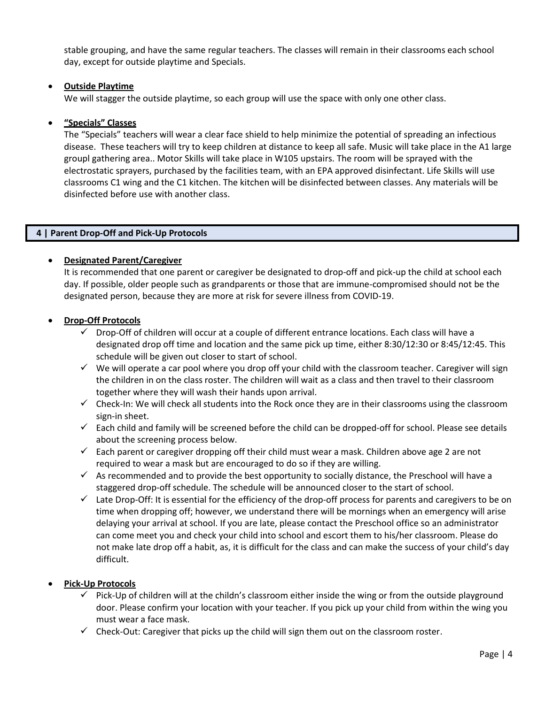stable grouping, and have the same regular teachers. The classes will remain in their classrooms each school day, except for outside playtime and Specials.

## • **Outside Playtime**

We will stagger the outside playtime, so each group will use the space with only one other class.

## • **"Specials" Classes**

The "Specials" teachers will wear a clear face shield to help minimize the potential of spreading an infectious disease. These teachers will try to keep children at distance to keep all safe. Music will take place in the A1 large groupl gathering area.. Motor Skills will take place in W105 upstairs. The room will be sprayed with the electrostatic sprayers, purchased by the facilities team, with an EPA approved disinfectant. Life Skills will use classrooms C1 wing and the C1 kitchen. The kitchen will be disinfected between classes. Any materials will be disinfected before use with another class.

## **4 | Parent Drop-Off and Pick-Up Protocols**

## • **Designated Parent/Caregiver**

It is recommended that one parent or caregiver be designated to drop-off and pick-up the child at school each day. If possible, older people such as grandparents or those that are immune-compromised should not be the designated person, because they are more at risk for severe illness from COVID-19.

#### • **Drop-Off Protocols**

- ✓ Drop-Off of children will occur at a couple of different entrance locations. Each class will have a designated drop off time and location and the same pick up time, either 8:30/12:30 or 8:45/12:45. This schedule will be given out closer to start of school.
- $\checkmark$  We will operate a car pool where you drop off your child with the classroom teacher. Caregiver will sign the children in on the class roster. The children will wait as a class and then travel to their classroom together where they will wash their hands upon arrival.
- $\checkmark$  Check-In: We will check all students into the Rock once they are in their classrooms using the classroom sign-in sheet.
- ✓ Each child and family will be screened before the child can be dropped-off for school. Please see details about the screening process below.
- $\checkmark$  Each parent or caregiver dropping off their child must wear a mask. Children above age 2 are not required to wear a mask but are encouraged to do so if they are willing.
- $\checkmark$  As recommended and to provide the best opportunity to socially distance, the Preschool will have a staggered drop-off schedule. The schedule will be announced closer to the start of school.
- $\checkmark$  Late Drop-Off: It is essential for the efficiency of the drop-off process for parents and caregivers to be on time when dropping off; however, we understand there will be mornings when an emergency will arise delaying your arrival at school. If you are late, please contact the Preschool office so an administrator can come meet you and check your child into school and escort them to his/her classroom. Please do not make late drop off a habit, as, it is difficult for the class and can make the success of your child's day difficult.

#### • **Pick-Up Protocols**

- $\checkmark$  Pick-Up of children will at the childn's classroom either inside the wing or from the outside playground door. Please confirm your location with your teacher. If you pick up your child from within the wing you must wear a face mask.
- $\checkmark$  Check-Out: Caregiver that picks up the child will sign them out on the classroom roster.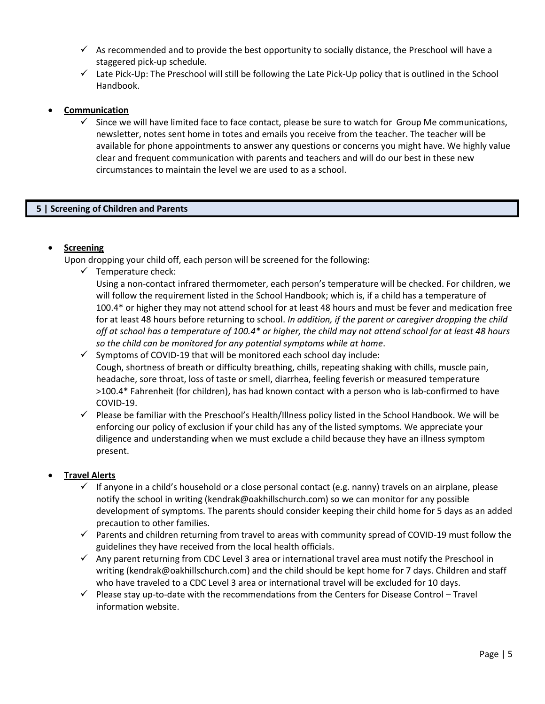- $\checkmark$  As recommended and to provide the best opportunity to socially distance, the Preschool will have a staggered pick-up schedule.
- $\checkmark$  Late Pick-Up: The Preschool will still be following the Late Pick-Up policy that is outlined in the School Handbook.

## • **Communication**

Since we will have limited face to face contact, please be sure to watch for Group Me communications, newsletter, notes sent home in totes and emails you receive from the teacher. The teacher will be available for phone appointments to answer any questions or concerns you might have. We highly value clear and frequent communication with parents and teachers and will do our best in these new circumstances to maintain the level we are used to as a school.

#### **5 | Screening of Children and Parents**

# • **Screening**

Upon dropping your child off, each person will be screened for the following:

 $\checkmark$  Temperature check:

Using a non-contact infrared thermometer, each person's temperature will be checked. For children, we will follow the requirement listed in the School Handbook; which is, if a child has a temperature of 100.4\* or higher they may not attend school for at least 48 hours and must be fever and medication free for at least 48 hours before returning to school. *In addition, if the parent or caregiver dropping the child off at school has a temperature of 100.4\* or higher, the child may not attend school for at least 48 hours so the child can be monitored for any potential symptoms while at home*.

- $\checkmark$  Symptoms of COVID-19 that will be monitored each school day include: Cough, shortness of breath or difficulty breathing, chills, repeating shaking with chills, muscle pain, headache, sore throat, loss of taste or smell, diarrhea, feeling feverish or measured temperature >100.4\* Fahrenheit (for children), has had known contact with a person who is lab-confirmed to have COVID-19.
- ✓ Please be familiar with the Preschool's Health/Illness policy listed in the School Handbook. We will be enforcing our policy of exclusion if your child has any of the listed symptoms. We appreciate your diligence and understanding when we must exclude a child because they have an illness symptom present.

#### • **Travel Alerts**

- $\checkmark$  If anyone in a child's household or a close personal contact (e.g. nanny) travels on an airplane, please notify the school in writing (kendrak@oakhillschurch.com) so we can monitor for any possible development of symptoms. The parents should consider keeping their child home for 5 days as an added precaution to other families.
- ✓ Parents and children returning from travel to areas with community spread of COVID-19 must follow the guidelines they have received from the local health officials.
- $\checkmark$  Any parent returning from CDC Level 3 area or international travel area must notify the Preschool in writing (kendrak@oakhillschurch.com) and the child should be kept home for 7 days. Children and staff who have traveled to a CDC Level 3 area or international travel will be excluded for 10 days.
- $\checkmark$  Please stay up-to-date with the recommendations from the Centers for Disease Control Travel information website.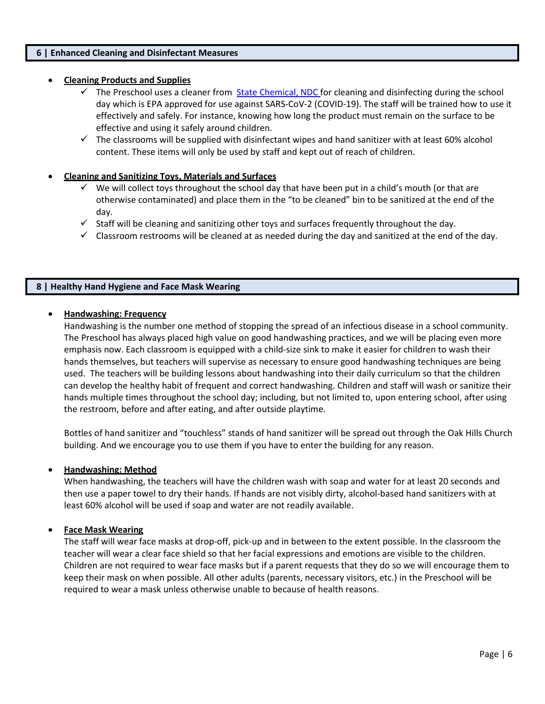#### **6 | Enhanced Cleaning and Disinfectant Measures**

#### • **Cleaning Products and Supplies**

- $\checkmark$  The Preschool uses a cleaner from State Chemical, NDC for cleaning and disinfecting during the school day which is EPA approved for use against SARS-CoV-2 (COVID-19). The staff will be trained how to use it effectively and safely. For instance, knowing how long the product must remain on the surface to be effective and using it safely around children.
- $\checkmark$  The classrooms will be supplied with disinfectant wipes and hand sanitizer with at least 60% alcohol content. These items will only be used by staff and kept out of reach of children.

#### • **Cleaning and Sanitizing Toys, Materials and Surfaces**

- $\checkmark$  We will collect toys throughout the school day that have been put in a child's mouth (or that are otherwise contaminated) and place them in the "to be cleaned" bin to be sanitized at the end of the day.
- $\checkmark$  Staff will be cleaning and sanitizing other toys and surfaces frequently throughout the day.
- $\checkmark$  Classroom restrooms will be cleaned at as needed during the day and sanitized at the end of the day.

#### **8 | Healthy Hand Hygiene and Face Mask Wearing**

#### • **Handwashing: Frequency**

Handwashing is the number one method of stopping the spread of an infectious disease in a school community. The Preschool has always placed high value on good handwashing practices, and we will be placing even more emphasis now. Each classroom is equipped with a child-size sink to make it easier for children to wash their hands themselves, but teachers will supervise as necessary to ensure good handwashing techniques are being used. The teachers will be building lessons about handwashing into their daily curriculum so that the children can develop the healthy habit of frequent and correct handwashing. Children and staff will wash or sanitize their hands multiple times throughout the school day; including, but not limited to, upon entering school, after using the restroom, before and after eating, and after outside playtime.

Bottles of hand sanitizer and "touchless" stands of hand sanitizer will be spread out through the Oak Hills Church building. And we encourage you to use them if you have to enter the building for any reason.

#### • **Handwashing: Method**

When handwashing, the teachers will have the children wash with soap and water for at least 20 seconds and then use a paper towel to dry their hands. If hands are not visibly dirty, alcohol-based hand sanitizers with at least 60% alcohol will be used if soap and water are not readily available.

#### • **Face Mask Wearing**

The staff will wear face masks at drop-off, pick-up and in between to the extent possible. In the classroom the teacher will wear a clear face shield so that her facial expressions and emotions are visible to the children. Children are not required to wear face masks but if a parent requests that they do so we will encourage them to keep their mask on when possible. All other adults (parents, necessary visitors, etc.) in the Preschool will be required to wear a mask unless otherwise unable to because of health reasons.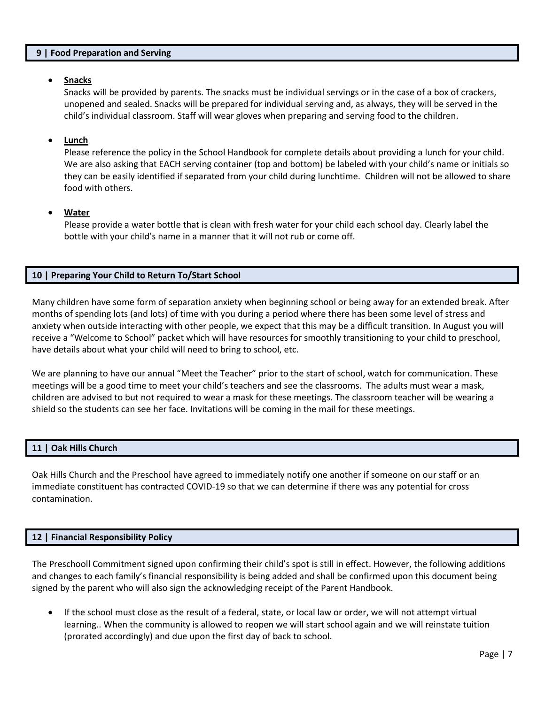#### **9 | Food Preparation and Serving**

#### • **Snacks**

Snacks will be provided by parents. The snacks must be individual servings or in the case of a box of crackers, unopened and sealed. Snacks will be prepared for individual serving and, as always, they will be served in the child's individual classroom. Staff will wear gloves when preparing and serving food to the children.

#### • **Lunch**

Please reference the policy in the School Handbook for complete details about providing a lunch for your child. We are also asking that EACH serving container (top and bottom) be labeled with your child's name or initials so they can be easily identified if separated from your child during lunchtime. Children will not be allowed to share food with others.

#### • **Water**

Please provide a water bottle that is clean with fresh water for your child each school day. Clearly label the bottle with your child's name in a manner that it will not rub or come off.

## **10 | Preparing Your Child to Return To/Start School**

Many children have some form of separation anxiety when beginning school or being away for an extended break. After months of spending lots (and lots) of time with you during a period where there has been some level of stress and anxiety when outside interacting with other people, we expect that this may be a difficult transition. In August you will receive a "Welcome to School" packet which will have resources for smoothly transitioning to your child to preschool, have details about what your child will need to bring to school, etc.

We are planning to have our annual "Meet the Teacher" prior to the start of school, watch for communication. These meetings will be a good time to meet your child's teachers and see the classrooms. The adults must wear a mask, children are advised to but not required to wear a mask for these meetings. The classroom teacher will be wearing a shield so the students can see her face. Invitations will be coming in the mail for these meetings.

#### **11 | Oak Hills Church**

Oak Hills Church and the Preschool have agreed to immediately notify one another if someone on our staff or an immediate constituent has contracted COVID-19 so that we can determine if there was any potential for cross contamination.

#### **12 | Financial Responsibility Policy**

The Preschooll Commitment signed upon confirming their child's spot is still in effect. However, the following additions and changes to each family's financial responsibility is being added and shall be confirmed upon this document being signed by the parent who will also sign the acknowledging receipt of the Parent Handbook.

• If the school must close as the result of a federal, state, or local law or order, we will not attempt virtual learning.. When the community is allowed to reopen we will start school again and we will reinstate tuition (prorated accordingly) and due upon the first day of back to school.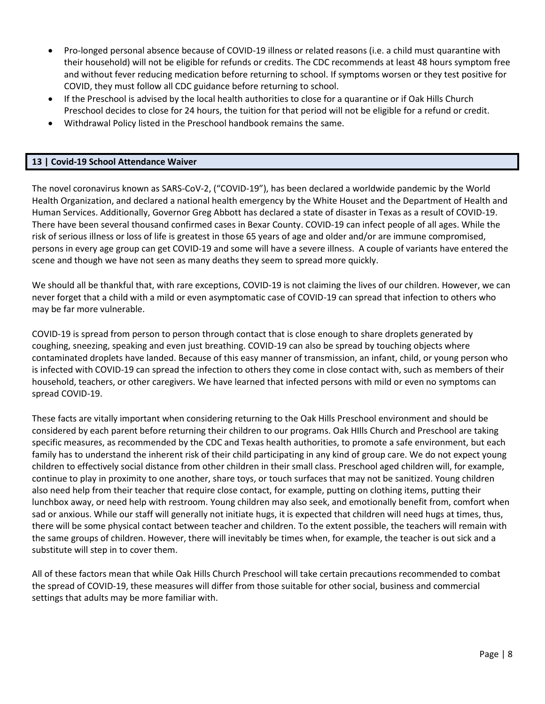- Pro-longed personal absence because of COVID-19 illness or related reasons (i.e. a child must quarantine with their household) will not be eligible for refunds or credits. The CDC recommends at least 48 hours symptom free and without fever reducing medication before returning to school. If symptoms worsen or they test positive for COVID, they must follow all CDC guidance before returning to school.
- If the Preschool is advised by the local health authorities to close for a quarantine or if Oak Hills Church Preschool decides to close for 24 hours, the tuition for that period will not be eligible for a refund or credit.
- Withdrawal Policy listed in the Preschool handbook remains the same.

#### **13 | Covid-19 School Attendance Waiver**

The novel coronavirus known as SARS-CoV-2, ("COVID-19"), has been declared a worldwide pandemic by the World Health Organization, and declared a national health emergency by the White Houset and the Department of Health and Human Services. Additionally, Governor Greg Abbott has declared a state of disaster in Texas as a result of COVID-19. There have been several thousand confirmed cases in Bexar County. COVID-19 can infect people of all ages. While the risk of serious illness or loss of life is greatest in those 65 years of age and older and/or are immune compromised, persons in every age group can get COVID-19 and some will have a severe illness. A couple of variants have entered the scene and though we have not seen as many deaths they seem to spread more quickly.

We should all be thankful that, with rare exceptions, COVID-19 is not claiming the lives of our children. However, we can never forget that a child with a mild or even asymptomatic case of COVID-19 can spread that infection to others who may be far more vulnerable.

COVID-19 is spread from person to person through contact that is close enough to share droplets generated by coughing, sneezing, speaking and even just breathing. COVID-19 can also be spread by touching objects where contaminated droplets have landed. Because of this easy manner of transmission, an infant, child, or young person who is infected with COVID-19 can spread the infection to others they come in close contact with, such as members of their household, teachers, or other caregivers. We have learned that infected persons with mild or even no symptoms can spread COVID-19.

These facts are vitally important when considering returning to the Oak Hills Preschool environment and should be considered by each parent before returning their children to our programs. Oak HIlls Church and Preschool are taking specific measures, as recommended by the CDC and Texas health authorities, to promote a safe environment, but each family has to understand the inherent risk of their child participating in any kind of group care. We do not expect young children to effectively social distance from other children in their small class. Preschool aged children will, for example, continue to play in proximity to one another, share toys, or touch surfaces that may not be sanitized. Young children also need help from their teacher that require close contact, for example, putting on clothing items, putting their lunchbox away, or need help with restroom. Young children may also seek, and emotionally benefit from, comfort when sad or anxious. While our staff will generally not initiate hugs, it is expected that children will need hugs at times, thus, there will be some physical contact between teacher and children. To the extent possible, the teachers will remain with the same groups of children. However, there will inevitably be times when, for example, the teacher is out sick and a substitute will step in to cover them.

All of these factors mean that while Oak Hills Church Preschool will take certain precautions recommended to combat the spread of COVID-19, these measures will differ from those suitable for other social, business and commercial settings that adults may be more familiar with.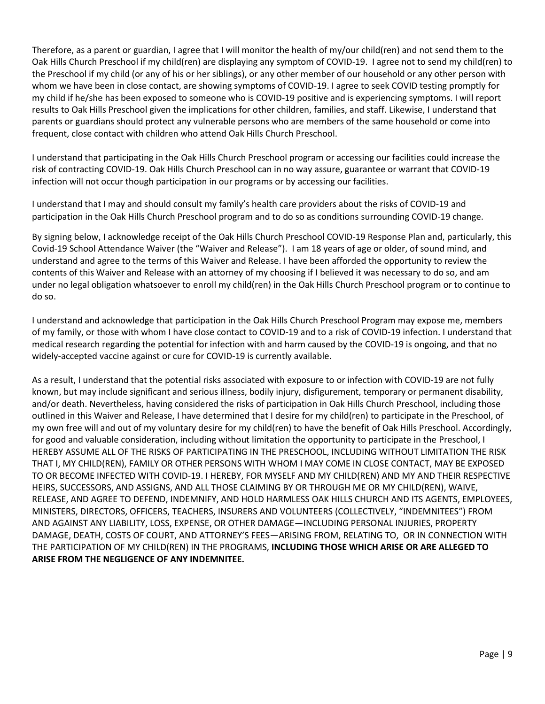Therefore, as a parent or guardian, I agree that I will monitor the health of my/our child(ren) and not send them to the Oak Hills Church Preschool if my child(ren) are displaying any symptom of COVID-19. I agree not to send my child(ren) to the Preschool if my child (or any of his or her siblings), or any other member of our household or any other person with whom we have been in close contact, are showing symptoms of COVID-19. I agree to seek COVID testing promptly for my child if he/she has been exposed to someone who is COVID-19 positive and is experiencing symptoms. I will report results to Oak Hills Preschool given the implications for other children, families, and staff. Likewise, I understand that parents or guardians should protect any vulnerable persons who are members of the same household or come into frequent, close contact with children who attend Oak Hills Church Preschool.

I understand that participating in the Oak Hills Church Preschool program or accessing our facilities could increase the risk of contracting COVID-19. Oak Hills Church Preschool can in no way assure, guarantee or warrant that COVID-19 infection will not occur though participation in our programs or by accessing our facilities.

I understand that I may and should consult my family's health care providers about the risks of COVID-19 and participation in the Oak Hills Church Preschool program and to do so as conditions surrounding COVID-19 change.

By signing below, I acknowledge receipt of the Oak Hills Church Preschool COVID-19 Response Plan and, particularly, this Covid-19 School Attendance Waiver (the "Waiver and Release"). I am 18 years of age or older, of sound mind, and understand and agree to the terms of this Waiver and Release. I have been afforded the opportunity to review the contents of this Waiver and Release with an attorney of my choosing if I believed it was necessary to do so, and am under no legal obligation whatsoever to enroll my child(ren) in the Oak Hills Church Preschool program or to continue to do so.

I understand and acknowledge that participation in the Oak Hills Church Preschool Program may expose me, members of my family, or those with whom I have close contact to COVID-19 and to a risk of COVID-19 infection. I understand that medical research regarding the potential for infection with and harm caused by the COVID-19 is ongoing, and that no widely-accepted vaccine against or cure for COVID-19 is currently available.

As a result, I understand that the potential risks associated with exposure to or infection with COVID-19 are not fully known, but may include significant and serious illness, bodily injury, disfigurement, temporary or permanent disability, and/or death. Nevertheless, having considered the risks of participation in Oak Hills Church Preschool, including those outlined in this Waiver and Release, I have determined that I desire for my child(ren) to participate in the Preschool, of my own free will and out of my voluntary desire for my child(ren) to have the benefit of Oak Hills Preschool. Accordingly, for good and valuable consideration, including without limitation the opportunity to participate in the Preschool, I HEREBY ASSUME ALL OF THE RISKS OF PARTICIPATING IN THE PRESCHOOL, INCLUDING WITHOUT LIMITATION THE RISK THAT I, MY CHILD(REN), FAMILY OR OTHER PERSONS WITH WHOM I MAY COME IN CLOSE CONTACT, MAY BE EXPOSED TO OR BECOME INFECTED WITH COVID-19. I HEREBY, FOR MYSELF AND MY CHILD(REN) AND MY AND THEIR RESPECTIVE HEIRS, SUCCESSORS, AND ASSIGNS, AND ALL THOSE CLAIMING BY OR THROUGH ME OR MY CHILD(REN), WAIVE, RELEASE, AND AGREE TO DEFEND, INDEMNIFY, AND HOLD HARMLESS OAK HILLS CHURCH AND ITS AGENTS, EMPLOYEES, MINISTERS, DIRECTORS, OFFICERS, TEACHERS, INSURERS AND VOLUNTEERS (COLLECTIVELY, "INDEMNITEES") FROM AND AGAINST ANY LIABILITY, LOSS, EXPENSE, OR OTHER DAMAGE—INCLUDING PERSONAL INJURIES, PROPERTY DAMAGE, DEATH, COSTS OF COURT, AND ATTORNEY'S FEES—ARISING FROM, RELATING TO, OR IN CONNECTION WITH THE PARTICIPATION OF MY CHILD(REN) IN THE PROGRAMS, **INCLUDING THOSE WHICH ARISE OR ARE ALLEGED TO ARISE FROM THE NEGLIGENCE OF ANY INDEMNITEE.**